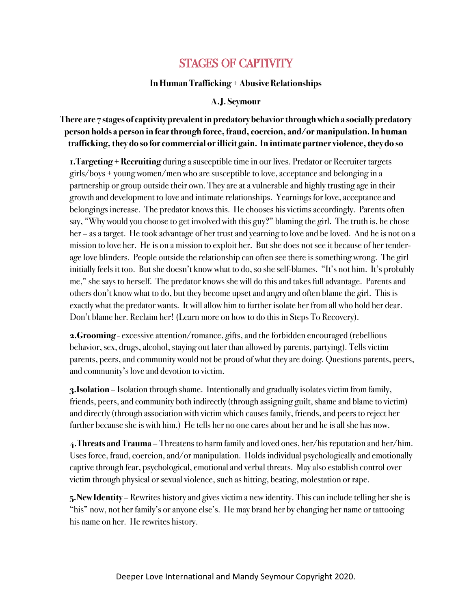# STAGES OF CAPTIVITY

#### **In Human Trafficking + Abusive Relationships**

#### **A.J. Seymour**

## **There are 7 stages of captivity prevalent in predatory behavior through which a socially predatory person holds a person in fear through force, fraud, coercion, and/or manipulation. In human trafficking, they do so for commercial or illicit gain. In intimate partner violence, they do so**

**1.Targeting + Recruiting** during a susceptible time in our lives. Predator or Recruiter targets girls/boys + young women/men who are susceptible to love, acceptance and belonging in a partnership or group outside their own. They are at a vulnerable and highly trusting age in their growth and development to love and intimate relationships. Yearnings for love, acceptance and belongings increase. The predator knows this. He chooses his victims accordingly. Parents often say, "Why would you choose to get involved with this guy?" blaming the girl. The truth is, he chose her – as a target. He took advantage of her trust and yearning to love and be loved. And he is not on a mission to love her. He is on a mission to exploit her. But she does not see it because of her tenderage love blinders. People outside the relationship can often see there is something wrong. The girl initially feels it too. But she doesn't know what to do, so she self-blames. "It's not him. It's probably me," she says to herself. The predator knows she will do this and takes full advantage. Parents and others don't know what to do, but they become upset and angry and often blame the girl. This is exactly what the predator wants. It will allow him to further isolate her from all who hold her dear. Don't blame her. Reclaim her! (Learn more on how to do this in Steps To Recovery).

**2.Grooming** - excessive attention/romance, gifts, and the forbidden encouraged (rebellious behavior, sex, drugs, alcohol, staying out later than allowed by parents, partying). Tells victim parents, peers, and community would not be proud of what they are doing. Questions parents, peers, and community's love and devotion to victim.

**3.Isolation** – Isolation through shame. Intentionally and gradually isolates victim from family, friends, peers, and community both indirectly (through assigning guilt, shame and blame to victim) and directly (through association with victim which causes family, friends, and peers to reject her further because she is with him.) He tells her no one cares about her and he is all she has now.

**4.Threats and Trauma** – Threatens to harm family and loved ones, her/his reputation and her/him. Uses force, fraud, coercion, and/or manipulation. Holds individual psychologically and emotionally captive through fear, psychological, emotional and verbal threats. May also establish control over victim through physical or sexual violence, such as hitting, beating, molestation or rape.

**5.New Identity** – Rewrites history and gives victim a new identity. This can include telling her she is "his" now, not her family's or anyone else's. He may brand her by changing her name or tattooing his name on her. He rewrites history.